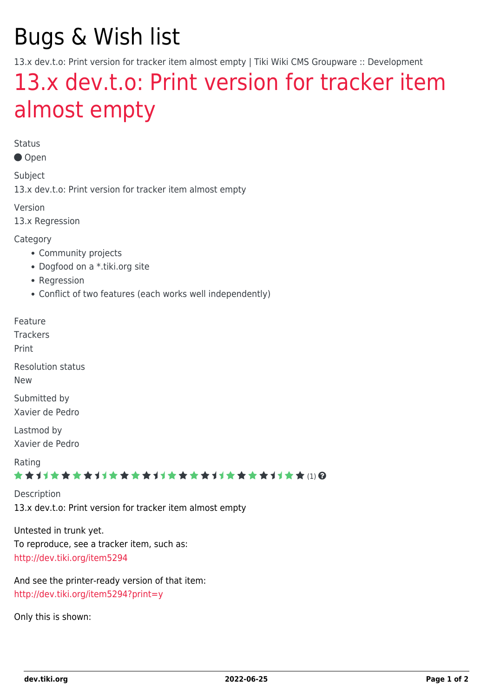# Bugs & Wish list

13.x dev.t.o: Print version for tracker item almost empty | Tiki Wiki CMS Groupware :: Development

## [13.x dev.t.o: Print version for tracker item](https://dev.tiki.org/item5527-13-x-dev-t-o-Print-version-for-tracker-item-almost-empty) [almost empty](https://dev.tiki.org/item5527-13-x-dev-t-o-Print-version-for-tracker-item-almost-empty)

Status

Open

Subject

13.x dev.t.o: Print version for tracker item almost empty

Version

13.x Regression

Category

- Community projects
- Dogfood on a \*.tiki.org site
- Regression
- Conflict of two features (each works well independently)

Feature

**Trackers** 

Print

Resolution status

New

Submitted by Xavier de Pedro

Lastmod by Xavier de Pedro

Rating

#### \*\*\*\*\*\*\*\*\*\*\*\*\*\*\*\*\*\*\*\*\*\*\*\*\*\*\*\*\*\*

**Description** 13.x dev.t.o: Print version for tracker item almost empty

Untested in trunk yet. To reproduce, see a tracker item, such as: <http://dev.tiki.org/item5294>

And see the printer-ready version of that item: <http://dev.tiki.org/item5294?print=y>

Only this is shown: